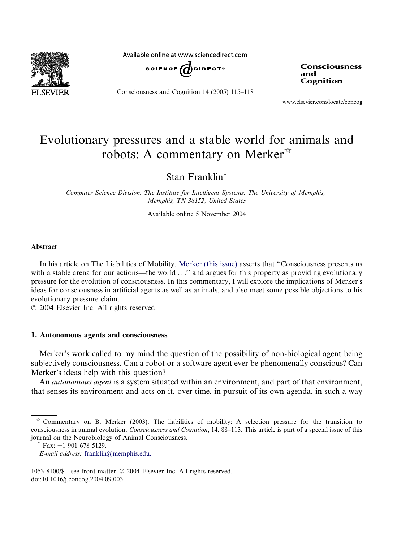

Available online at www.sciencedirect.com



Consciousness and Cognition 14 (2005) 115–118

Consciousness and Cognition

www.elsevier.com/locate/concog

## Evolutionary pressures and a stable world for animals and robots: A commentary on Merker $\mathbb{R}$

Stan Franklin\*

Computer Science Division, The Institute for Intelligent Systems, The University of Memphis, Memphis, TN 38152, United States

Available online 5 November 2004

## **Abstract**

In his article on The Liabilities of Mobility, [Merker \(this issue\)](#page-3-0) asserts that ''Consciousness presents us with a stable arena for our actions—the world ..." and argues for this property as providing evolutionary pressure for the evolution of consciousness. In this commentary, I will explore the implications of Merker's ideas for consciousness in artificial agents as well as animals, and also meet some possible objections to his evolutionary pressure claim.

2004 Elsevier Inc. All rights reserved.

## 1. Autonomous agents and consciousness

Merker's work called to my mind the question of the possibility of non-biological agent being subjectively consciousness. Can a robot or a software agent ever be phenomenally conscious? Can Merker's ideas help with this question?

An *autonomous agent* is a system situated within an environment, and part of that environment, that senses its environment and acts on it, over time, in pursuit of its own agenda, in such a way

1053-8100/\$ - see front matter 2004 Elsevier Inc. All rights reserved. doi:10.1016/j.concog.2004.09.003

 $\alpha$  Commentary on B. Merker (2003). The liabilities of mobility: A selection pressure for the transition to consciousness in animal evolution. Consciousness and Cognition, 14, 88–113. This article is part of a special issue of this journal on the Neurobiology of Animal Consciousness. \* Fax: +1 901 678 5129.

E-mail address: [franklin@memphis.edu.](mailto:franklin@memphis.edu.)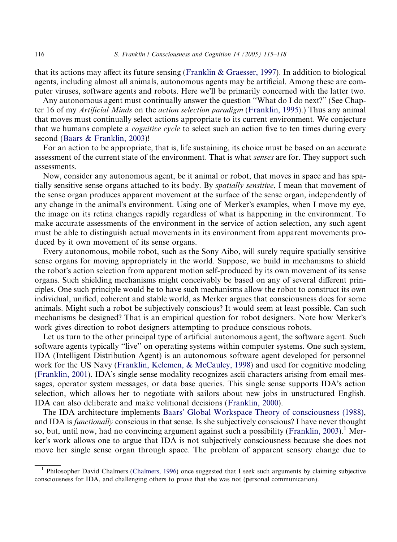that its actions may affect its future sensing ([Franklin & Graesser, 1997\)](#page-3-0). In addition to biological agents, including almost all animals, autonomous agents may be artificial. Among these are computer viruses, software agents and robots. Here well be primarily concerned with the latter two.

Any autonomous agent must continually answer the question ''What do I do next?'' (See Chapter 16 of my Artificial Minds on the action selection paradigm [\(Franklin, 1995](#page-3-0)).) Thus any animal that moves must continually select actions appropriate to its current environment. We conjecture that we humans complete a *cognitive cycle* to select such an action five to ten times during every second ([Baars & Franklin, 2003\)](#page-3-0)!

For an action to be appropriate, that is, life sustaining, its choice must be based on an accurate assessment of the current state of the environment. That is what senses are for. They support such assessments.

Now, consider any autonomous agent, be it animal or robot, that moves in space and has spatially sensitive sense organs attached to its body. By spatially sensitive, I mean that movement of the sense organ produces apparent movement at the surface of the sense organ, independently of any change in the animal's environment. Using one of Merker's examples, when I move my eye, the image on its retina changes rapidly regardless of what is happening in the environment. To make accurate assessments of the environment in the service of action selection, any such agent must be able to distinguish actual movements in its environment from apparent movements produced by it own movement of its sense organs.

Every autonomous, mobile robot, such as the Sony Aibo, will surely require spatially sensitive sense organs for moving appropriately in the world. Suppose, we build in mechanisms to shield the robot's action selection from apparent motion self-produced by its own movement of its sense organs. Such shielding mechanisms might conceivably be based on any of several different principles. One such principle would be to have such mechanisms allow the robot to construct its own individual, unified, coherent and stable world, as Merker argues that consciousness does for some animals. Might such a robot be subjectively conscious? It would seem at least possible. Can such mechanisms be designed? That is an empirical question for robot designers. Note how Merker's work gives direction to robot designers attempting to produce conscious robots.

Let us turn to the other principal type of artificial autonomous agent, the software agent. Such software agents typically ''live'' on operating systems within computer systems. One such system, IDA (Intelligent Distribution Agent) is an autonomous software agent developed for personnel work for the US Navy ([Franklin, Kelemen, & McCauley, 1998\)](#page-3-0) and used for cognitive modeling [\(Franklin, 2001](#page-3-0)). IDA's single sense modality recognizes ascii characters arising from email messages, operator system messages, or data base queries. This single sense supports IDA's action selection, which allows her to negotiate with sailors about new jobs in unstructured English. IDA can also deliberate and make volitional decisions [\(Franklin, 2000\)](#page-3-0).

The IDA architecture implements Baars' [Global Workspace Theory of consciousness \(1988\),](#page-3-0) and IDA is functionally conscious in that sense. Is she subjectively conscious? I have never thought so, but, until now, had no convincing argument against such a possibility ([Franklin, 2003\)](#page-3-0).<sup>1</sup> Merker's work allows one to argue that IDA is not subjectively consciousness because she does not move her single sense organ through space. The problem of apparent sensory change due to

<sup>&</sup>lt;sup>1</sup> Philosopher David Chalmers ([Chalmers, 1996\)](#page-3-0) once suggested that I seek such arguments by claiming subjective consciousness for IDA, and challenging others to prove that she was not (personal communication).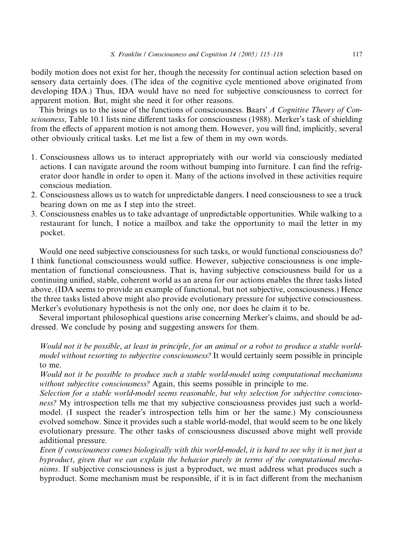bodily motion does not exist for her, though the necessity for continual action selection based on sensory data certainly does. (The idea of the cognitive cycle mentioned above originated from developing IDA.) Thus, IDA would have no need for subjective consciousness to correct for apparent motion. But, might she need it for other reasons.

This brings us to the issue of the functions of consciousness. Baars' A Cognitive Theory of Consciousness, Table 10.1 lists nine different tasks for consciousness (1988). Merker's task of shielding from the effects of apparent motion is not among them. However, you will find, implicitly, several other obviously critical tasks. Let me list a few of them in my own words.

- 1. Consciousness allows us to interact appropriately with our world via consciously mediated actions. I can navigate around the room without bumping into furniture. I can find the refrigerator door handle in order to open it. Many of the actions involved in these activities require conscious mediation.
- 2. Consciousness allows us to watch for unpredictable dangers. I need consciousness to see a truck bearing down on me as I step into the street.
- 3. Consciousness enables us to take advantage of unpredictable opportunities. While walking to a restaurant for lunch, I notice a mailbox and take the opportunity to mail the letter in my pocket.

Would one need subjective consciousness for such tasks, or would functional consciousness do? I think functional consciousness would suffice. However, subjective consciousness is one implementation of functional consciousness. That is, having subjective consciousness build for us a continuing unified, stable, coherent world as an arena for our actions enables the three tasks listed above. (IDA seems to provide an example of functional, but not subjective, consciousness.) Hence the three tasks listed above might also provide evolutionary pressure for subjective consciousness. Merker's evolutionary hypothesis is not the only one, nor does he claim it to be.

Several important philosophical questions arise concerning Merker's claims, and should be addressed. We conclude by posing and suggesting answers for them.

Would not it be possible, at least in principle, for an animal or a robot to produce a stable worldmodel without resorting to subjective consciousness? It would certainly seem possible in principle to me.

Would not it be possible to produce such a stable world-model using computational mechanisms without subjective consciousness? Again, this seems possible in principle to me.

Selection for a stable world-model seems reasonable, but why selection for subjective consciousness? My introspection tells me that my subjective consciousness provides just such a worldmodel. (I suspect the reader's introspection tells him or her the same.) My consciousness evolved somehow. Since it provides such a stable world-model, that would seem to be one likely evolutionary pressure. The other tasks of consciousness discussed above might well provide additional pressure.

Even if consciousness comes biologically with this world-model, it is hard to see why it is not just a byproduct, given that we can explain the behavior purely in terms of the computational mechanisms. If subjective consciousness is just a byproduct, we must address what produces such a byproduct. Some mechanism must be responsible, if it is in fact different from the mechanism